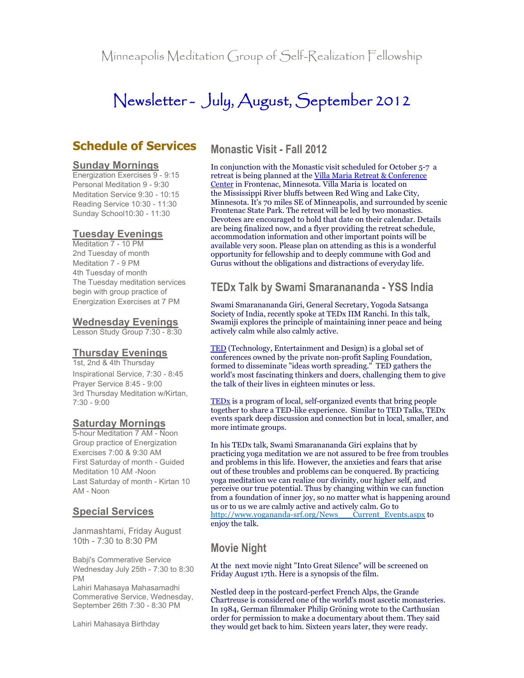# Newsletter - July, August, September 2012

# **Schedule of Services**

#### **Sunday Mornings**

Energization Exercises 9 - 9:15 Personal Meditation 9 - 9:30 Meditation Service 9:30 - 10:15 Reading Service 10:30 - 11:30 Sunday School10:30 - 11:30

# **Tuesday Evenings**

Meditation 7 - 10 PM 2nd Tuesday of month Meditation 7 - 9 PM 4th Tuesday of month The Tuesday meditation services begin with group practice of Energization Exercises at 7 PM

## **Wednesday Evenings**

Lesson Study Group 7:30 - 8:30

## **Thursday Evenings**

1st, 2nd & 4th Thursday Inspirational Service, 7:30 - 8:45 Prayer Service 8:45 - 9:00 3rd Thursday Meditation w/Kirtan, 7:30 - 9:00

### **Saturday Mornings**

5-hour Meditation 7 AM - Noon Group practice of Energization Exercises 7:00 & 9:30 AM First Saturday of month - Guided Meditation 10 AM -Noon Last Saturday of month - Kirtan 10 AM - Noon

# **Special Services**

Janmashtami, Friday August 10th - 7:30 to 8:30 PM

Babji's Commerative Service Wednesday July 25th - 7:30 to 8:30 PM Lahiri Mahasaya Mahasamadhi

Commerative Service, Wednesday, September 26th 7:30 - 8:30 PM

Lahiri Mahasaya Birthday

# **Monastic Visit - Fall 2012**

In conjunction with the Monastic visit scheduled for October 5-7 a retreat is being planned at the Villa Maria Retreat & Conference Center in Frontenac, Minnesota. Villa Maria is located on the Mississippi River bluffs between Red Wing and Lake City, Minnesota. It's 70 miles SE of Minneapolis, and surrounded by scenic Frontenac State Park. The retreat will be led by two monastics. Devotees are encouraged to hold that date on their calendar. Details are being finalized now, and a flyer providing the retreat schedule, accommodation information and other important points will be available very soon. Please plan on attending as this is a wonderful opportunity for fellowship and to deeply commune with God and Gurus without the obligations and distractions of everyday life.

# **TEDx Talk by Swami Smaranananda - YSS India**

Swami Smaranananda Giri, General Secretary, Yogoda Satsanga Society of India, recently spoke at TEDx IIM Ranchi. In this talk, Swamiji explores the principle of maintaining inner peace and being actively calm while also calmly active.

TED (Technology, Entertainment and Design) is a global set of conferences owned by the private non-profit Sapling Foundation, formed to disseminate "ideas worth spreading." TED gathers the world's most fascinating thinkers and doers, challenging them to give the talk of their lives in eighteen minutes or less.

TEDx is a program of local, self-organized events that bring people together to share a TED-like experience. Similar to TED Talks, TEDx events spark deep discussion and connection but in local, smaller, and more intimate groups.

In his TEDx talk, Swami Smaranananda Giri explains that by practicing yoga meditation we are not assured to be free from troubles and problems in this life. However, the anxieties and fears that arise out of these troubles and problems can be conquered. By practicing yoga meditation we can realize our divinity, our higher self, and perceive our true potential. Thus by changing within we can function from a foundation of inner joy, so no matter what is happening around us or to us we are calmly active and actively calm. Go to http://www.yogananda-srf.org/News\_\_\_Current\_Events.aspx to enjoy the talk.

# **Movie Night**

At the next movie night "Into Great Silence" will be screened on Friday August 17th. Here is a synopsis of the film.

Nestled deep in the postcard-perfect French Alps, the Grande Chartreuse is considered one of the world's most ascetic monasteries. In 1984, German filmmaker Philip Gröning wrote to the Carthusian order for permission to make a documentary about them. They said they would get back to him. Sixteen years later, they were ready.